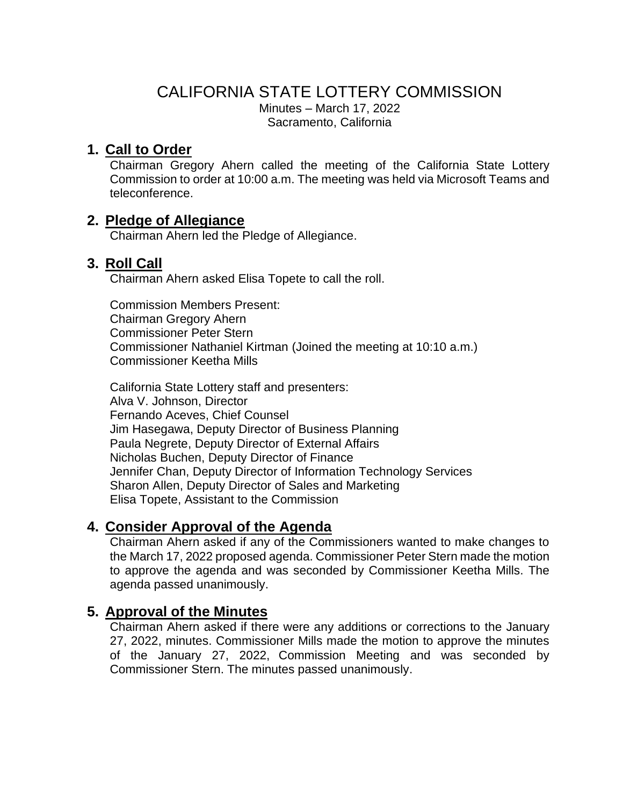#### CALIFORNIA STATE LOTTERY COMMISSION Minutes – March 17, 2022 Sacramento, California

# **1. Call to Order**

Chairman Gregory Ahern called the meeting of the California State Lottery Commission to order at 10:00 a.m. The meeting was held via Microsoft Teams and teleconference.

## **2. Pledge of Allegiance**

Chairman Ahern led the Pledge of Allegiance.

## **3. Roll Call**

Chairman Ahern asked Elisa Topete to call the roll.

Commission Members Present: Chairman Gregory Ahern Commissioner Peter Stern Commissioner Nathaniel Kirtman (Joined the meeting at 10:10 a.m.) Commissioner Keetha Mills

California State Lottery staff and presenters: Alva V. Johnson, Director Fernando Aceves, Chief Counsel Jim Hasegawa, Deputy Director of Business Planning Paula Negrete, Deputy Director of External Affairs Nicholas Buchen, Deputy Director of Finance Jennifer Chan, Deputy Director of Information Technology Services Sharon Allen, Deputy Director of Sales and Marketing Elisa Topete, Assistant to the Commission

# **4. Consider Approval of the Agenda**

Chairman Ahern asked if any of the Commissioners wanted to make changes to the March 17, 2022 proposed agenda. Commissioner Peter Stern made the motion to approve the agenda and was seconded by Commissioner Keetha Mills. The agenda passed unanimously.

# **5. Approval of the Minutes**

Chairman Ahern asked if there were any additions or corrections to the January 27, 2022, minutes. Commissioner Mills made the motion to approve the minutes of the January 27, 2022, Commission Meeting and was seconded by Commissioner Stern. The minutes passed unanimously.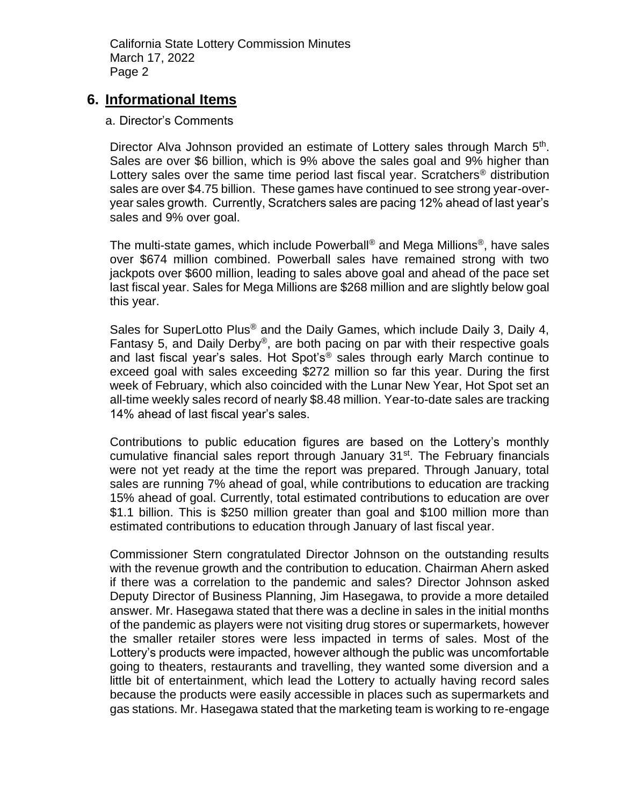#### **6. Informational Items**

#### a. Director's Comments

Director Alva Johnson provided an estimate of Lottery sales through March 5<sup>th</sup>. Sales are over \$6 billion, which is 9% above the sales goal and 9% higher than Lottery sales over the same time period last fiscal year. Scratchers<sup>®</sup> distribution sales are over \$4.75 billion. These games have continued to see strong year-overyear sales growth. Currently, Scratchers sales are pacing 12% ahead of last year's sales and 9% over goal.

The multi-state games, which include Powerball® and Mega Millions®, have sales over \$674 million combined. Powerball sales have remained strong with two jackpots over \$600 million, leading to sales above goal and ahead of the pace set last fiscal year. Sales for Mega Millions are \$268 million and are slightly below goal this year.

Sales for SuperLotto Plus<sup>®</sup> and the Daily Games, which include Daily 3, Daily 4, Fantasy 5, and Daily Derby®, are both pacing on par with their respective goals and last fiscal year's sales. Hot Spot's<sup>®</sup> sales through early March continue to exceed goal with sales exceeding \$272 million so far this year. During the first week of February, which also coincided with the Lunar New Year, Hot Spot set an all-time weekly sales record of nearly \$8.48 million. Year-to-date sales are tracking 14% ahead of last fiscal year's sales.

Contributions to public education figures are based on the Lottery's monthly cumulative financial sales report through January 31<sup>st</sup>. The February financials were not yet ready at the time the report was prepared. Through January, total sales are running 7% ahead of goal, while contributions to education are tracking 15% ahead of goal. Currently, total estimated contributions to education are over \$1.1 billion. This is \$250 million greater than goal and \$100 million more than estimated contributions to education through January of last fiscal year.

Commissioner Stern congratulated Director Johnson on the outstanding results with the revenue growth and the contribution to education. Chairman Ahern asked if there was a correlation to the pandemic and sales? Director Johnson asked Deputy Director of Business Planning, Jim Hasegawa, to provide a more detailed answer. Mr. Hasegawa stated that there was a decline in sales in the initial months of the pandemic as players were not visiting drug stores or supermarkets, however the smaller retailer stores were less impacted in terms of sales. Most of the Lottery's products were impacted, however although the public was uncomfortable going to theaters, restaurants and travelling, they wanted some diversion and a little bit of entertainment, which lead the Lottery to actually having record sales because the products were easily accessible in places such as supermarkets and gas stations. Mr. Hasegawa stated that the marketing team is working to re-engage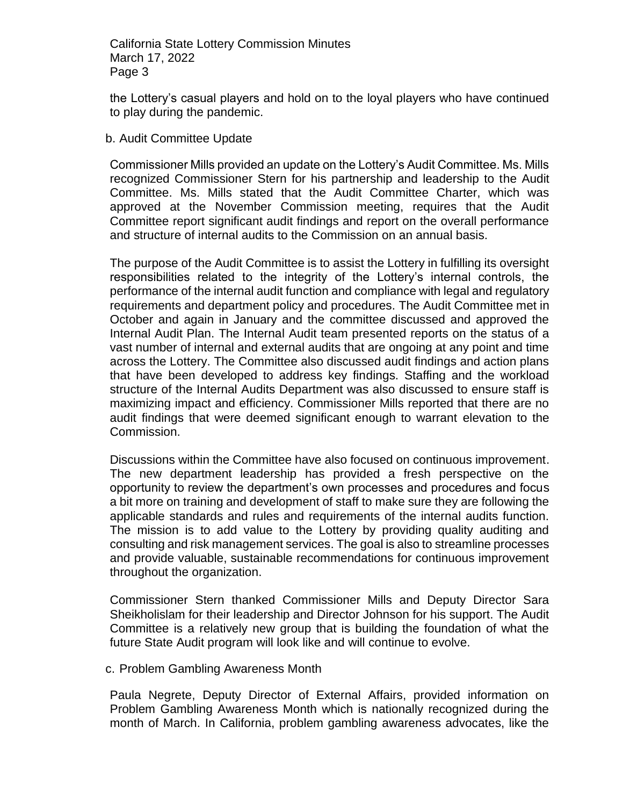the Lottery's casual players and hold on to the loyal players who have continued to play during the pandemic.

b. Audit Committee Update

Commissioner Mills provided an update on the Lottery's Audit Committee. Ms. Mills recognized Commissioner Stern for his partnership and leadership to the Audit Committee. Ms. Mills stated that the Audit Committee Charter, which was approved at the November Commission meeting, requires that the Audit Committee report significant audit findings and report on the overall performance and structure of internal audits to the Commission on an annual basis.

The purpose of the Audit Committee is to assist the Lottery in fulfilling its oversight responsibilities related to the integrity of the Lottery's internal controls, the performance of the internal audit function and compliance with legal and regulatory requirements and department policy and procedures. The Audit Committee met in October and again in January and the committee discussed and approved the Internal Audit Plan. The Internal Audit team presented reports on the status of a vast number of internal and external audits that are ongoing at any point and time across the Lottery. The Committee also discussed audit findings and action plans that have been developed to address key findings. Staffing and the workload structure of the Internal Audits Department was also discussed to ensure staff is maximizing impact and efficiency. Commissioner Mills reported that there are no audit findings that were deemed significant enough to warrant elevation to the Commission.

Discussions within the Committee have also focused on continuous improvement. The new department leadership has provided a fresh perspective on the opportunity to review the department's own processes and procedures and focus a bit more on training and development of staff to make sure they are following the applicable standards and rules and requirements of the internal audits function. The mission is to add value to the Lottery by providing quality auditing and consulting and risk management services. The goal is also to streamline processes and provide valuable, sustainable recommendations for continuous improvement throughout the organization.

Commissioner Stern thanked Commissioner Mills and Deputy Director Sara Sheikholislam for their leadership and Director Johnson for his support. The Audit Committee is a relatively new group that is building the foundation of what the future State Audit program will look like and will continue to evolve.

c. Problem Gambling Awareness Month

Paula Negrete, Deputy Director of External Affairs, provided information on Problem Gambling Awareness Month which is nationally recognized during the month of March. In California, problem gambling awareness advocates, like the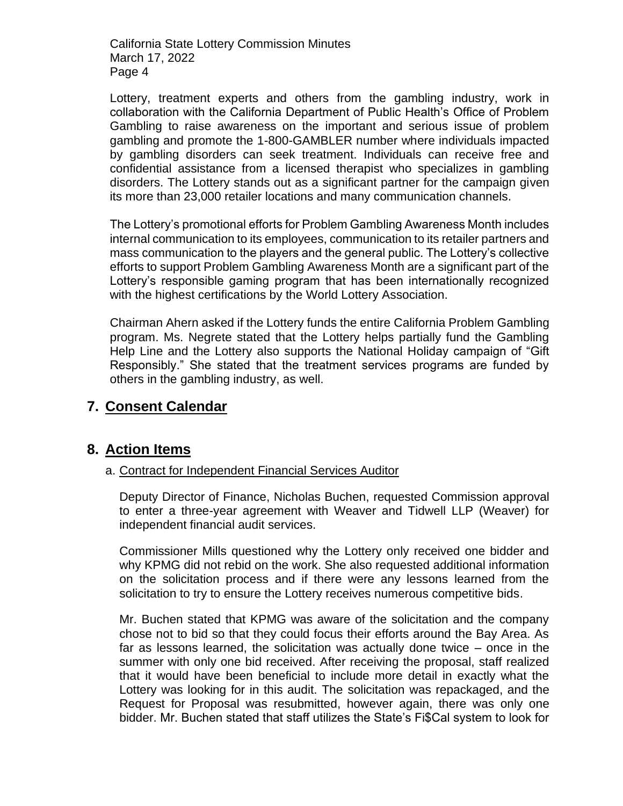Lottery, treatment experts and others from the gambling industry, work in collaboration with the California Department of Public Health's Office of Problem Gambling to raise awareness on the important and serious issue of problem gambling and promote the 1-800-GAMBLER number where individuals impacted by gambling disorders can seek treatment. Individuals can receive free and confidential assistance from a licensed therapist who specializes in gambling disorders. The Lottery stands out as a significant partner for the campaign given its more than 23,000 retailer locations and many communication channels.

The Lottery's promotional efforts for Problem Gambling Awareness Month includes internal communication to its employees, communication to its retailer partners and mass communication to the players and the general public. The Lottery's collective efforts to support Problem Gambling Awareness Month are a significant part of the Lottery's responsible gaming program that has been internationally recognized with the highest certifications by the World Lottery Association.

Chairman Ahern asked if the Lottery funds the entire California Problem Gambling program. Ms. Negrete stated that the Lottery helps partially fund the Gambling Help Line and the Lottery also supports the National Holiday campaign of "Gift Responsibly." She stated that the treatment services programs are funded by others in the gambling industry, as well.

## **7. Consent Calendar**

## **8. Action Items**

#### a. Contract for Independent Financial Services Auditor

Deputy Director of Finance, Nicholas Buchen, requested Commission approval to enter a three-year agreement with Weaver and Tidwell LLP (Weaver) for independent financial audit services.

Commissioner Mills questioned why the Lottery only received one bidder and why KPMG did not rebid on the work. She also requested additional information on the solicitation process and if there were any lessons learned from the solicitation to try to ensure the Lottery receives numerous competitive bids.

Mr. Buchen stated that KPMG was aware of the solicitation and the company chose not to bid so that they could focus their efforts around the Bay Area. As far as lessons learned, the solicitation was actually done twice – once in the summer with only one bid received. After receiving the proposal, staff realized that it would have been beneficial to include more detail in exactly what the Lottery was looking for in this audit. The solicitation was repackaged, and the Request for Proposal was resubmitted, however again, there was only one bidder. Mr. Buchen stated that staff utilizes the State's Fi\$Cal system to look for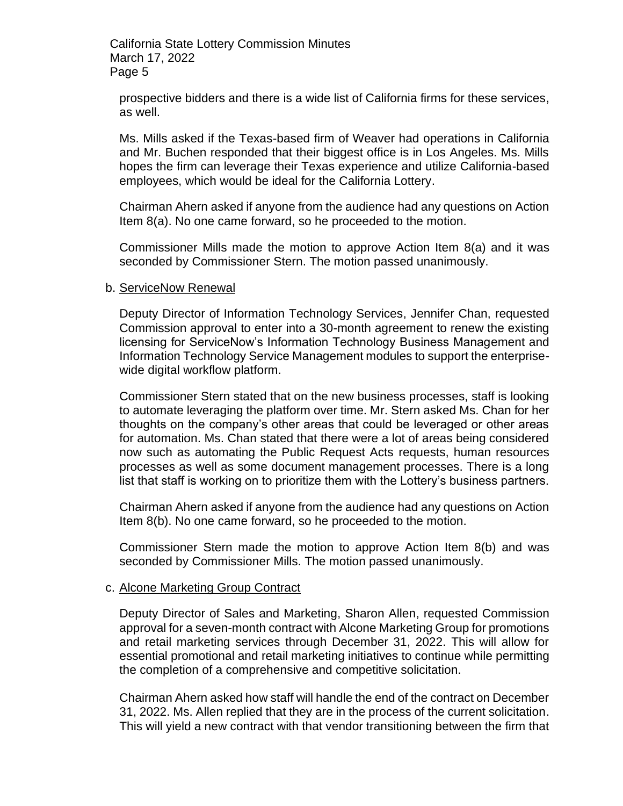prospective bidders and there is a wide list of California firms for these services, as well.

Ms. Mills asked if the Texas-based firm of Weaver had operations in California and Mr. Buchen responded that their biggest office is in Los Angeles. Ms. Mills hopes the firm can leverage their Texas experience and utilize California-based employees, which would be ideal for the California Lottery.

Chairman Ahern asked if anyone from the audience had any questions on Action Item 8(a). No one came forward, so he proceeded to the motion.

Commissioner Mills made the motion to approve Action Item 8(a) and it was seconded by Commissioner Stern. The motion passed unanimously.

#### b. ServiceNow Renewal

Deputy Director of Information Technology Services, Jennifer Chan, requested Commission approval to enter into a 30-month agreement to renew the existing licensing for ServiceNow's Information Technology Business Management and Information Technology Service Management modules to support the enterprisewide digital workflow platform.

Commissioner Stern stated that on the new business processes, staff is looking to automate leveraging the platform over time. Mr. Stern asked Ms. Chan for her thoughts on the company's other areas that could be leveraged or other areas for automation. Ms. Chan stated that there were a lot of areas being considered now such as automating the Public Request Acts requests, human resources processes as well as some document management processes. There is a long list that staff is working on to prioritize them with the Lottery's business partners.

Chairman Ahern asked if anyone from the audience had any questions on Action Item 8(b). No one came forward, so he proceeded to the motion.

Commissioner Stern made the motion to approve Action Item 8(b) and was seconded by Commissioner Mills. The motion passed unanimously.

#### c. Alcone Marketing Group Contract

Deputy Director of Sales and Marketing, Sharon Allen, requested Commission approval for a seven-month contract with Alcone Marketing Group for promotions and retail marketing services through December 31, 2022. This will allow for essential promotional and retail marketing initiatives to continue while permitting the completion of a comprehensive and competitive solicitation.

Chairman Ahern asked how staff will handle the end of the contract on December 31, 2022. Ms. Allen replied that they are in the process of the current solicitation. This will yield a new contract with that vendor transitioning between the firm that